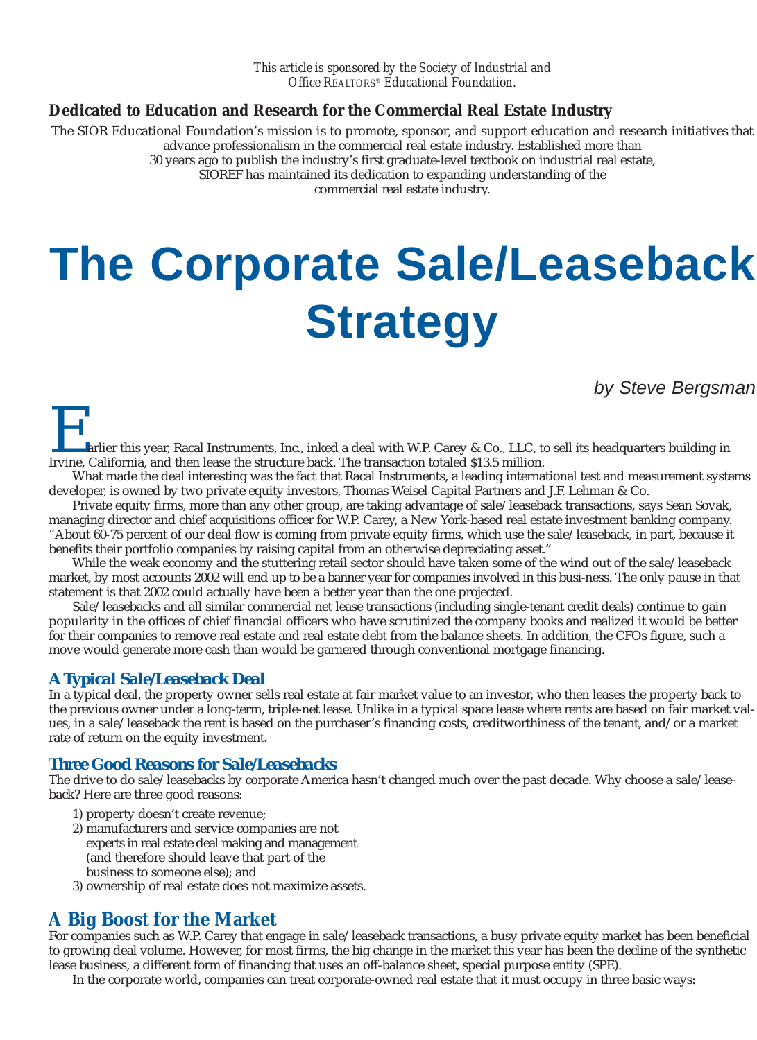## **Dedicated to Education and Research for the Commercial Real Estate Industry**

The SIOR Educational Foundation's mission is to promote, sponsor, and support education and research initiatives that advance professionalism in the commercial real estate industry. Established more than 30 years ago to publish the industry's first graduate-level textbook on industrial real estate,

SIOREF has maintained its dedication to expanding understanding of the

commercial real estate industry.

# **The Corporate Sale/Leaseback Strategy**

by Steve Bergsman

Aarlier this year, Racal Instruments, Inc., inked a deal with W.P. Carey & Co., LLC, to sell its headquarters building in Irvine, California, and then lease the structure back. The transaction totaled \$13.5 million.

What made the deal interesting was the fact that Racal Instruments, a leading international test and measurement systems developer, is owned by two private equity investors, Thomas Weisel Capital Partners and J.F. Lehman & Co.

Private equity firms, more than any other group, are taking advantage of sale/leaseback transactions, says Sean Sovak, managing director and chief acquisitions officer for W.P. Carey, a New York-based real estate investment banking company. "About 60-75 percent of our deal flow is coming from private equity firms, which use the sale/leaseback, in part, because it benefits their portfolio companies by raising capital from an otherwise depreciating asset."

While the weak economy and the stuttering retail sector should have taken some of the wind out of the sale/leaseback market, by most accounts 2002 will end up to be a banner year for companies involved in this busi-ness. The only pause in that statement is that 2002 could actually have been a better year than the one projected.

Sale/leasebacks and all similar commercial net lease transactions (including single-tenant credit deals) continue to gain popularity in the offices of chief financial officers who have scrutinized the company books and realized it would be better for their companies to remove real estate and real estate debt from the balance sheets. In addition, the CFOs figure, such a move would generate more cash than would be garnered through conventional mortgage financing.

### *A Typical Sale/Leaseback Deal*

In a typical deal, the property owner sells real estate at fair market value to an investor, who then leases the property back to the previous owner under a long-term, triple-net lease. Unlike in a typical space lease where rents are based on fair market values, in a sale/leaseback the rent is based on the purchaser's financing costs, creditworthiness of the tenant, and/or a market rate of return on the equity investment.

#### *Three Good Reasons for Sale/Leasebacks*

The drive to do sale/leasebacks by corporate America hasn't changed much over the past decade. Why choose a sale/leaseback? Here are three good reasons:

- 1) property doesn't create revenue;
- 2) manufacturers and service companies are not experts in real estate deal making and management (and therefore should leave that part of the business to someone else); and
- 3) ownership of real estate does not maximize assets.

## **A Big Boost for the Market**

For companies such as W.P. Carey that engage in sale/leaseback transactions, a busy private equity market has been beneficial to growing deal volume. However, for most firms, the big change in the market this year has been the decline of the synthetic lease business, a different form of financing that uses an off-balance sheet, special purpose entity (SPE).

In the corporate world, companies can treat corporate-owned real estate that it must occupy in three basic ways: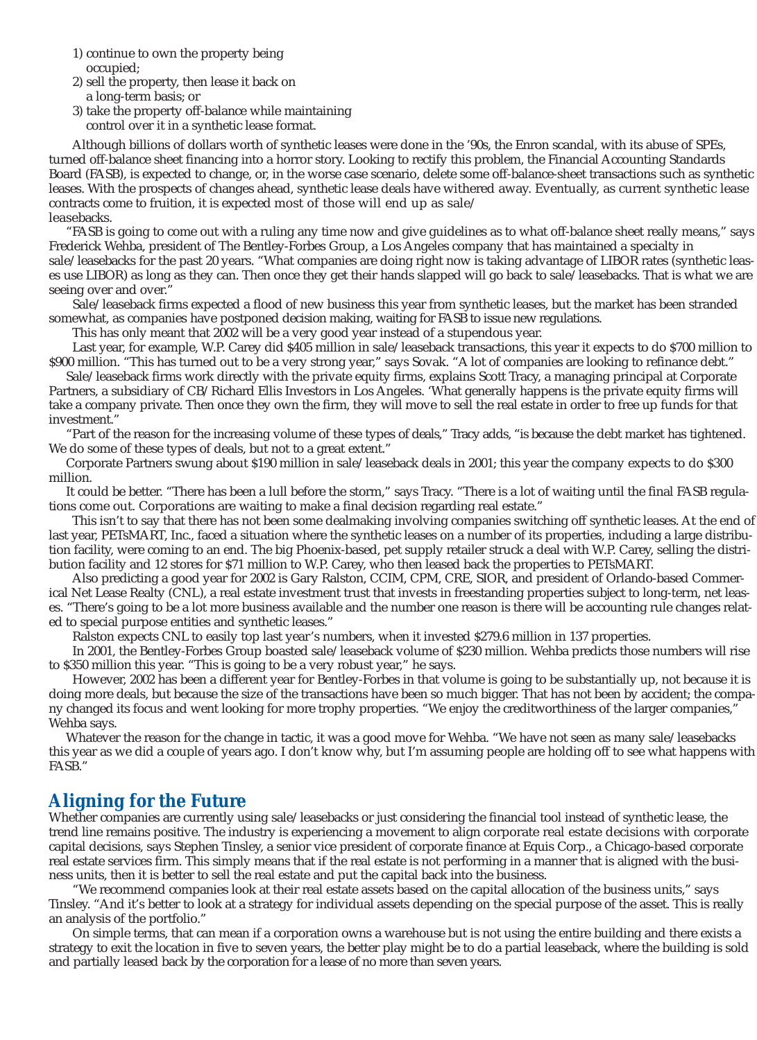- 1) continue to own the property being occupied;
- 2) sell the property, then lease it back on a long-term basis; or
- 3) take the property off-balance while maintaining control over it in a synthetic lease format.

Although billions of dollars worth of synthetic leases were done in the '90s, the Enron scandal, with its abuse of SPEs, turned off-balance sheet financing into a horror story. Looking to rectify this problem, the Financial Accounting Standards Board (FASB), is expected to change, or, in the worse case scenario, delete some off-balance-sheet transactions such as synthetic leases. With the prospects of changes ahead, synthetic lease deals have withered away. Eventually, as current synthetic lease contracts come to fruition, it is expected most of those will end up as sale/ leasebacks.

"FASB is going to come out with a ruling any time now and give guidelines as to what off-balance sheet really means," says Frederick Wehba, president of The Bentley-Forbes Group, a Los Angeles company that has maintained a specialty in sale/leasebacks for the past 20 years. "What companies are doing right now is taking advantage of LIBOR rates (synthetic leases use LIBOR) as long as they can. Then once they get their hands slapped will go back to sale/leasebacks. That is what we are seeing over and over."

Sale/leaseback firms expected a flood of new business this year from synthetic leases, but the market has been stranded somewhat, as companies have postponed decision making, waiting for FASB to issue new regulations.

This has only meant that 2002 will be a very good year instead of a stupendous year.

Last year, for example, W.P. Carey did \$405 million in sale/leaseback transactions, this year it expects to do \$700 million to \$900 million. "This has turned out to be a very strong year," says Sovak. "A lot of companies are looking to refinance debt."

Sale/leaseback firms work directly with the private equity firms, explains Scott Tracy, a managing principal at Corporate Partners, a subsidiary of CB/Richard Ellis Investors in Los Angeles. 'What generally happens is the private equity firms will take a company private. Then once they own the firm, they will move to sell the real estate in order to free up funds for that investment."

"Part of the reason for the increasing volume of these types of deals," Tracy adds, "is because the debt market has tightened. We do some of these types of deals, but not to a great extent."

Corporate Partners swung about \$190 million in sale/leaseback deals in 2001; this year the company expects to do \$300 million.

It could be better. "There has been a lull before the storm," says Tracy. "There is a lot of waiting until the final FASB regulations come out. Corporations are waiting to make a final decision regarding real estate."

This isn't to say that there has not been some dealmaking involving companies switching off synthetic leases. At the end of last year, PETsMART, Inc., faced a situation where the synthetic leases on a number of its properties, including a large distribution facility, were coming to an end. The big Phoenix-based, pet supply retailer struck a deal with W.P. Carey, selling the distribution facility and 12 stores for \$71 million to W.P. Carey, who then leased back the properties to PETsMART.

Also predicting a good year for 2002 is Gary Ralston, CCIM, CPM, CRE, SIOR, and president of Orlando-based Commerical Net Lease Realty (CNL), a real estate investment trust that invests in freestanding properties subject to long-term, net leases. "There's going to be a lot more business available and the number one reason is there will be accounting rule changes related to special purpose entities and synthetic leases."

Ralston expects CNL to easily top last year's numbers, when it invested \$279.6 million in 137 properties.

In 2001, the Bentley-Forbes Group boasted sale/leaseback volume of \$230 million. Wehba predicts those numbers will rise to \$350 million this year. "This is going to be a very robust year," he says.

However, 2002 has been a different year for Bentley-Forbes in that volume is going to be substantially up, not because it is doing more deals, but because the size of the transactions have been so much bigger. That has not been by accident; the company changed its focus and went looking for more trophy properties. "We enjoy the creditworthiness of the larger companies," Wehba says.

Whatever the reason for the change in tactic, it was a good move for Wehba. "We have not seen as many sale/leasebacks this year as we did a couple of years ago. I don't know why, but I'm assuming people are holding off to see what happens with FASB."

# **Aligning for the Future**

Whether companies are currently using sale/leasebacks or just considering the financial tool instead of synthetic lease, the trend line remains positive. The industry is experiencing a movement to align corporate real estate decisions with corporate capital decisions, says Stephen Tinsley, a senior vice president of corporate finance at Equis Corp., a Chicago-based corporate real estate services firm. This simply means that if the real estate is not performing in a manner that is aligned with the business units, then it is better to sell the real estate and put the capital back into the business.

"We recommend companies look at their real estate assets based on the capital allocation of the business units," says Tinsley. "And it's better to look at a strategy for individual assets depending on the special purpose of the asset. This is really an analysis of the portfolio."

On simple terms, that can mean if a corporation owns a warehouse but is not using the entire building and there exists a strategy to exit the location in five to seven years, the better play might be to do a partial leaseback, where the building is sold and partially leased back by the corporation for a lease of no more than seven years.